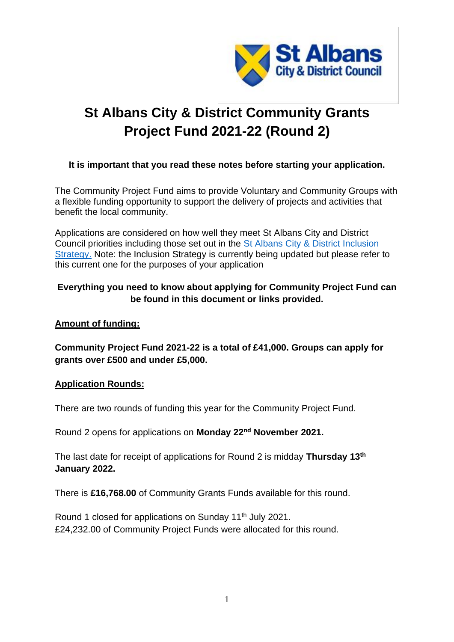

# **St Albans City & District Community Grants Project Fund 2021-22 (Round 2)**

## **It is important that you read these notes before starting your application.**

The Community Project Fund aims to provide Voluntary and Community Groups with a flexible funding opportunity to support the delivery of projects and activities that benefit the local community.

Applications are considered on how well they meet St Albans City and District Council priorities including those set out in the [St Albans City & District Inclusion](https://www.stalbans.gov.uk/sites/default/files/documents/publications/council/Inclusion%20Strategy%202017-2020%20-%20Final_tcm15-53796.pdf)  [Strategy.](https://www.stalbans.gov.uk/sites/default/files/documents/publications/council/Inclusion%20Strategy%202017-2020%20-%20Final_tcm15-53796.pdf) Note: the Inclusion Strategy is currently being updated but please refer to this current one for the purposes of your application

## **Everything you need to know about applying for Community Project Fund can be found in this document or links provided.**

## **Amount of funding:**

**Community Project Fund 2021-22 is a total of £41,000. Groups can apply for grants over £500 and under £5,000.** 

#### **Application Rounds:**

There are two rounds of funding this year for the Community Project Fund.

Round 2 opens for applications on **Monday 22nd November 2021.**

The last date for receipt of applications for Round 2 is midday **Thursday 13th January 2022.**

There is **£16,768.00** of Community Grants Funds available for this round.

Round 1 closed for applications on Sunday 11<sup>th</sup> July 2021. £24,232.00 of Community Project Funds were allocated for this round.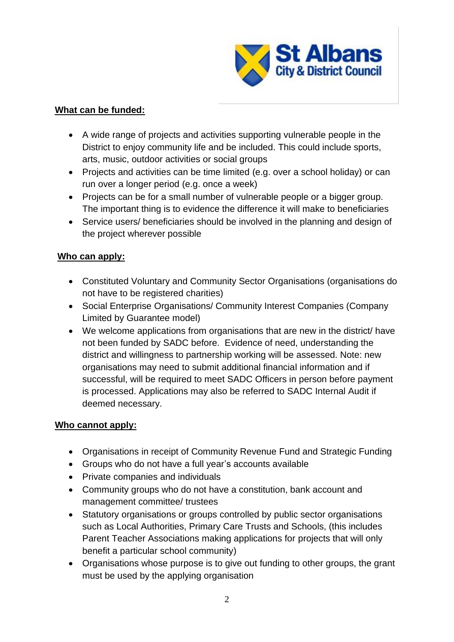

# **What can be funded:**

- A wide range of projects and activities supporting vulnerable people in the District to enjoy community life and be included. This could include sports, arts, music, outdoor activities or social groups
- Projects and activities can be time limited (e.g. over a school holiday) or can run over a longer period (e.g. once a week)
- Projects can be for a small number of vulnerable people or a bigger group. The important thing is to evidence the difference it will make to beneficiaries
- Service users/ beneficiaries should be involved in the planning and design of the project wherever possible

## **Who can apply:**

- Constituted Voluntary and Community Sector Organisations (organisations do not have to be registered charities)
- Social Enterprise Organisations/ Community Interest Companies (Company Limited by Guarantee model)
- We welcome applications from organisations that are new in the district/ have not been funded by SADC before. Evidence of need, understanding the district and willingness to partnership working will be assessed. Note: new organisations may need to submit additional financial information and if successful, will be required to meet SADC Officers in person before payment is processed. Applications may also be referred to SADC Internal Audit if deemed necessary.

## **Who cannot apply:**

- Organisations in receipt of Community Revenue Fund and Strategic Funding
- Groups who do not have a full year's accounts available
- Private companies and individuals
- Community groups who do not have a constitution, bank account and management committee/ trustees
- Statutory organisations or groups controlled by public sector organisations such as Local Authorities, Primary Care Trusts and Schools, (this includes Parent Teacher Associations making applications for projects that will only benefit a particular school community)
- Organisations whose purpose is to give out funding to other groups, the grant must be used by the applying organisation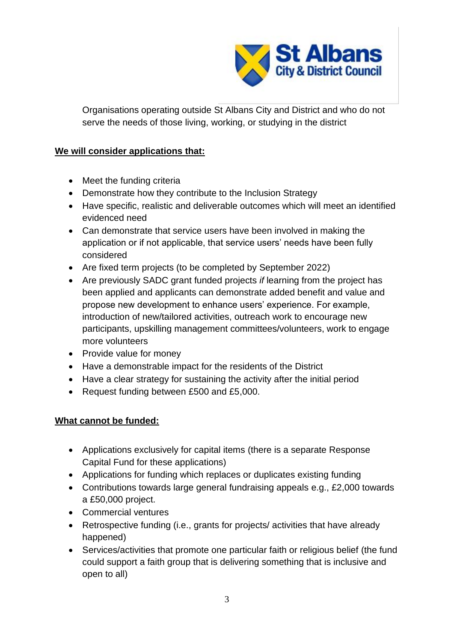

Organisations operating outside St Albans City and District and who do not serve the needs of those living, working, or studying in the district

## **We will consider applications that:**

- Meet the funding criteria
- Demonstrate how they contribute to the Inclusion Strategy
- Have specific, realistic and deliverable outcomes which will meet an identified evidenced need
- Can demonstrate that service users have been involved in making the application or if not applicable, that service users' needs have been fully considered
- Are fixed term projects (to be completed by September 2022)
- Are previously SADC grant funded projects *if* learning from the project has been applied and applicants can demonstrate added benefit and value and propose new development to enhance users' experience. For example, introduction of new/tailored activities, outreach work to encourage new participants, upskilling management committees/volunteers, work to engage more volunteers
- Provide value for money
- Have a demonstrable impact for the residents of the District
- Have a clear strategy for sustaining the activity after the initial period
- Request funding between £500 and £5,000.

## **What cannot be funded:**

- Applications exclusively for capital items (there is a separate Response Capital Fund for these applications)
- Applications for funding which replaces or duplicates existing funding
- Contributions towards large general fundraising appeals e.g., £2,000 towards a £50,000 project.
- Commercial ventures
- Retrospective funding (i.e., grants for projects/ activities that have already happened)
- Services/activities that promote one particular faith or religious belief (the fund could support a faith group that is delivering something that is inclusive and open to all)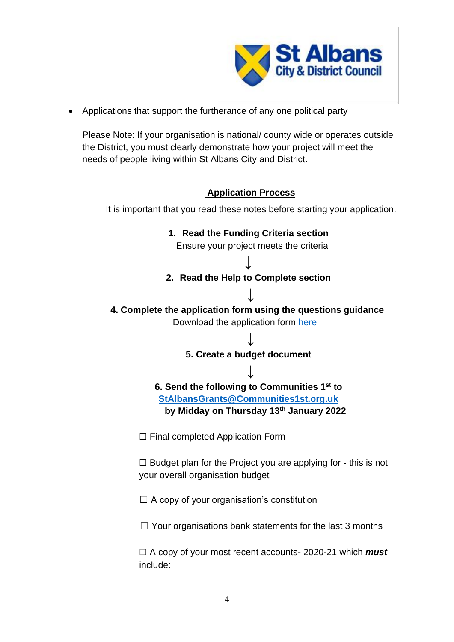

• Applications that support the furtherance of any one political party

Please Note: If your organisation is national/ county wide or operates outside the District, you must clearly demonstrate how your project will meet the needs of people living within St Albans City and District.

# **Application Process**

It is important that you read these notes before starting your application.

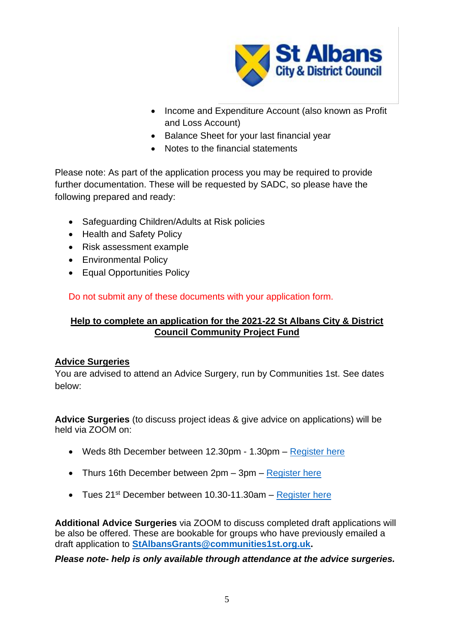

- Income and Expenditure Account (also known as Profit and Loss Account)
- Balance Sheet for your last financial year
- Notes to the financial statements

Please note: As part of the application process you may be required to provide further documentation. These will be requested by SADC, so please have the following prepared and ready:

- Safeguarding Children/Adults at Risk policies
- Health and Safety Policy
- Risk assessment example
- Environmental Policy
- Equal Opportunities Policy

Do not submit any of these documents with your application form.

# **Help to complete an application for the 2021-22 St Albans City & District Council Community Project Fund**

## **Advice Surgeries**

You are advised to attend an Advice Surgery, run by Communities 1st. See dates below:

**Advice Surgeries** (to discuss project ideas & give advice on applications) will be held via ZOOM on:

- Weds 8th December between 12.30pm 1.30pm [Register here](https://www.communities1st.org.uk/civicrm/event/info%3Fid%3D2125%26reset%3D1)
- Thurs 16th December between 2pm 3pm [Register here](https://www.communities1st.org.uk/civicrm/event/info%3Fid%3D2126%26reset%3D1)
- Tues  $21^{st}$  December between 10.30-11.30am [Register here](https://www.communities1st.org.uk/civicrm/event/info%3Fid%3D2127%26reset%3D1)

**Additional Advice Surgeries** via ZOOM to discuss completed draft applications will be also be offered. These are bookable for groups who have previously emailed a draft application to **[StAlbansGrants@communities1st.org.uk.](mailto:StAlbansGrants@communities1st.org.uk)** 

*Please note- help is only available through attendance at the advice surgeries.*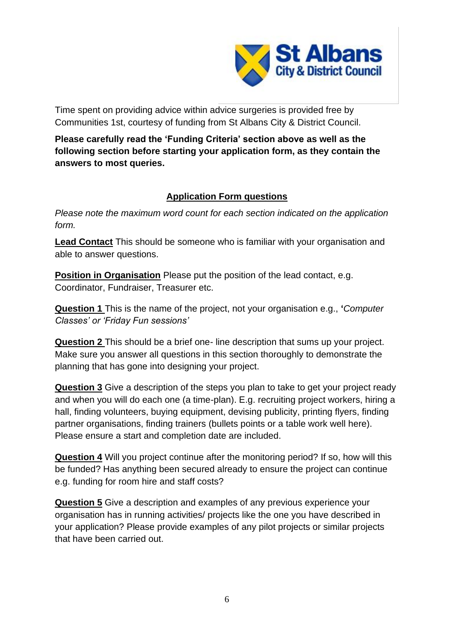

Time spent on providing advice within advice surgeries is provided free by Communities 1st, courtesy of funding from St Albans City & District Council.

**Please carefully read the 'Funding Criteria' section above as well as the following section before starting your application form, as they contain the answers to most queries.** 

# **Application Form questions**

*Please note the maximum word count for each section indicated on the application form.* 

**Lead Contact** This should be someone who is familiar with your organisation and able to answer questions.

**Position in Organisation** Please put the position of the lead contact, e.g. Coordinator, Fundraiser, Treasurer etc.

**Question 1** This is the name of the project, not your organisation e.g., **'***Computer Classes' or 'Friday Fun sessions'*

**Question 2** This should be a brief one- line description that sums up your project. Make sure you answer all questions in this section thoroughly to demonstrate the planning that has gone into designing your project.

**Question 3** Give a description of the steps you plan to take to get your project ready and when you will do each one (a time-plan). E.g. recruiting project workers, hiring a hall, finding volunteers, buying equipment, devising publicity, printing flyers, finding partner organisations, finding trainers (bullets points or a table work well here). Please ensure a start and completion date are included.

**Question 4** Will you project continue after the monitoring period? If so, how will this be funded? Has anything been secured already to ensure the project can continue e.g. funding for room hire and staff costs?

**Question 5** Give a description and examples of any previous experience your organisation has in running activities/ projects like the one you have described in your application? Please provide examples of any pilot projects or similar projects that have been carried out.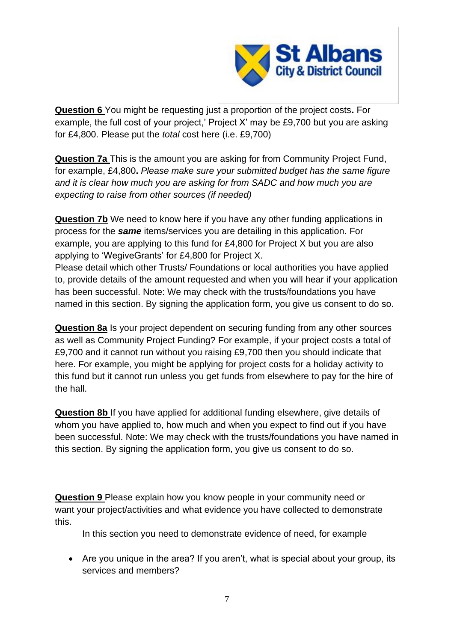

**Question 6** You might be requesting just a proportion of the project costs**.** For example, the full cost of your project,' Project X' may be £9,700 but you are asking for £4,800. Please put the *total* cost here (i.e. £9,700)

**Question 7a** This is the amount you are asking for from Community Project Fund, for example, £4,800**.** *Please make sure your submitted budget has the same figure and it is clear how much you are asking for from SADC and how much you are expecting to raise from other sources (if needed)* 

**Question 7b** We need to know here if you have any other funding applications in process for the *same* items/services you are detailing in this application. For example, you are applying to this fund for £4,800 for Project X but you are also applying to 'WegiveGrants' for £4,800 for Project X.

Please detail which other Trusts/ Foundations or local authorities you have applied to, provide details of the amount requested and when you will hear if your application has been successful. Note: We may check with the trusts/foundations you have named in this section. By signing the application form, you give us consent to do so.

**Question 8a** Is your project dependent on securing funding from any other sources as well as Community Project Funding? For example, if your project costs a total of £9,700 and it cannot run without you raising £9,700 then you should indicate that here. For example, you might be applying for project costs for a holiday activity to this fund but it cannot run unless you get funds from elsewhere to pay for the hire of the hall.

**Question 8b** If you have applied for additional funding elsewhere, give details of whom you have applied to, how much and when you expect to find out if you have been successful. Note: We may check with the trusts/foundations you have named in this section. By signing the application form, you give us consent to do so.

**Question 9** Please explain how you know people in your community need or want your project/activities and what evidence you have collected to demonstrate this.

In this section you need to demonstrate evidence of need, for example

• Are you unique in the area? If you aren't, what is special about your group, its services and members?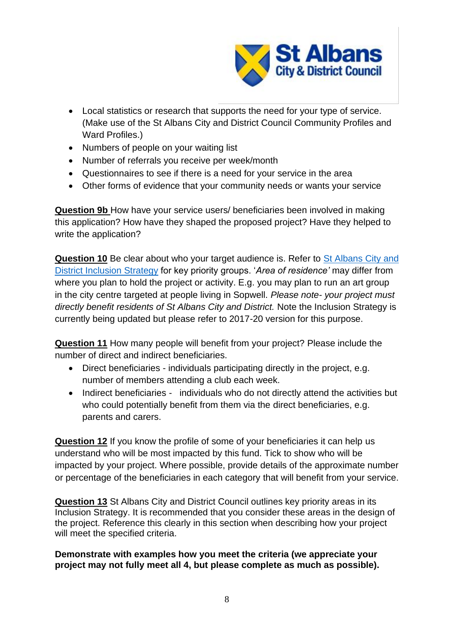

- Local statistics or research that supports the need for your type of service. (Make use of the St Albans City and District Council Community Profiles and Ward Profiles.)
- Numbers of people on your waiting list
- Number of referrals you receive per week/month
- Questionnaires to see if there is a need for your service in the area
- Other forms of evidence that your community needs or wants your service

**Question 9b** How have your service users/ beneficiaries been involved in making this application? How have they shaped the proposed project? Have they helped to write the application?

**Question 10** Be clear about who your target audience is. Refer to [St Albans City and](https://www.stalbans.gov.uk/sites/default/files/documents/publications/council/Inclusion%20Strategy%202017-2020%20-%20Final_tcm15-53796.pdf)  [District Inclusion Strategy](https://www.stalbans.gov.uk/sites/default/files/documents/publications/council/Inclusion%20Strategy%202017-2020%20-%20Final_tcm15-53796.pdf) for key priority groups. '*Area of residence'* may differ from where you plan to hold the project or activity. E.g. you may plan to run an art group in the city centre targeted at people living in Sopwell. *Please note- your project must directly benefit residents of St Albans City and District.* Note the Inclusion Strategy is currently being updated but please refer to 2017-20 version for this purpose.

**Question 11** How many people will benefit from your project? Please include the number of direct and indirect beneficiaries.

- Direct beneficiaries individuals participating directly in the project, e.g. number of members attending a club each week.
- Indirect beneficiaries individuals who do not directly attend the activities but who could potentially benefit from them via the direct beneficiaries, e.g. parents and carers.

**Question 12** If you know the profile of some of your beneficiaries it can help us understand who will be most impacted by this fund. Tick to show who will be impacted by your project. Where possible, provide details of the approximate number or percentage of the beneficiaries in each category that will benefit from your service.

**Question 13** St Albans City and District Council outlines key priority areas in its Inclusion Strategy. It is recommended that you consider these areas in the design of the project. Reference this clearly in this section when describing how your project will meet the specified criteria.

## **Demonstrate with examples how you meet the criteria (we appreciate your project may not fully meet all 4, but please complete as much as possible).**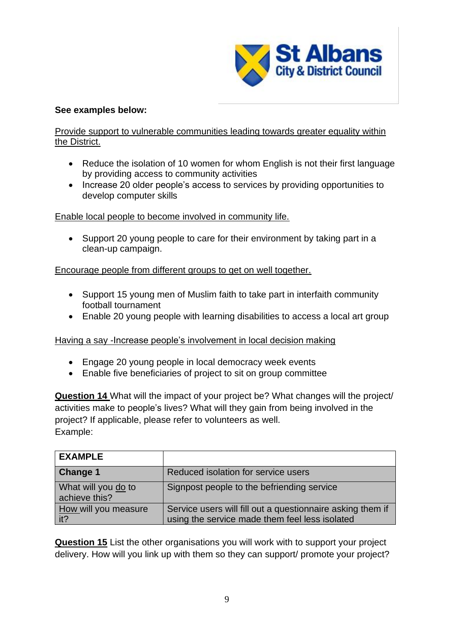

## **See examples below:**

## Provide support to vulnerable communities leading towards greater equality within the District.

- Reduce the isolation of 10 women for whom English is not their first language by providing access to community activities
- Increase 20 older people's access to services by providing opportunities to develop computer skills

Enable local people to become involved in community life.

• Support 20 young people to care for their environment by taking part in a clean-up campaign.

## Encourage people from different groups to get on well together.

- Support 15 young men of Muslim faith to take part in interfaith community football tournament
- Enable 20 young people with learning disabilities to access a local art group

Having a say -Increase people's involvement in local decision making

- Engage 20 young people in local democracy week events
- Enable five beneficiaries of project to sit on group committee

**Question 14** What will the impact of your project be? What changes will the project/ activities make to people's lives? What will they gain from being involved in the project? If applicable, please refer to volunteers as well. Example:

| <b>EXAMPLE</b>                       |                                                                                                              |
|--------------------------------------|--------------------------------------------------------------------------------------------------------------|
| <b>Change 1</b>                      | Reduced isolation for service users                                                                          |
| What will you do to<br>achieve this? | Signpost people to the befriending service                                                                   |
| How will you measure<br>it?          | Service users will fill out a questionnaire asking them if<br>using the service made them feel less isolated |

**Question 15** List the other organisations you will work with to support your project delivery. How will you link up with them so they can support/ promote your project?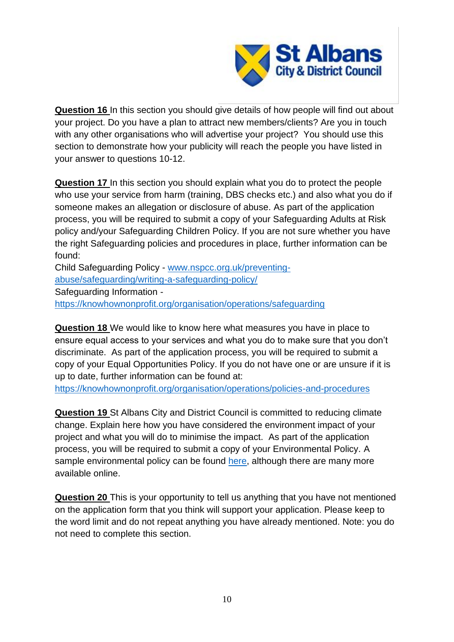

**Question 16** In this section you should give details of how people will find out about your project. Do you have a plan to attract new members/clients? Are you in touch with any other organisations who will advertise your project? You should use this section to demonstrate how your publicity will reach the people you have listed in your answer to questions 10-12.

**Question 17** In this section you should explain what you do to protect the people who use your service from harm (training, DBS checks etc.) and also what you do if someone makes an allegation or disclosure of abuse. As part of the application process, you will be required to submit a copy of your Safeguarding Adults at Risk policy and/your Safeguarding Children Policy. If you are not sure whether you have the right Safeguarding policies and procedures in place, further information can be found:

Child Safeguarding Policy - [www.nspcc.org.uk/preventing](http://www.nspcc.org.uk/preventing-abuse/safeguarding/writing-a-safeguarding-policy/)[abuse/safeguarding/writing-a-safeguarding-policy/](http://www.nspcc.org.uk/preventing-abuse/safeguarding/writing-a-safeguarding-policy/) Safeguarding Information <https://knowhownonprofit.org/organisation/operations/safeguarding>

**Question 18** We would like to know here what measures you have in place to ensure equal access to your services and what you do to make sure that you don't discriminate. As part of the application process, you will be required to submit a copy of your Equal Opportunities Policy. If you do not have one or are unsure if it is up to date, further information can be found at:

<https://knowhownonprofit.org/organisation/operations/policies-and-procedures>

**Question 19** St Albans City and District Council is committed to reducing climate change. Explain here how you have considered the environment impact of your project and what you will do to minimise the impact. As part of the application process, you will be required to submit a copy of your Environmental Policy. A sample environmental policy can be found [here,](http://www.voluntaryactionharrow.org.uk/sample-environmental-policy-charities/) although there are many more available online.

**Question 20** This is your opportunity to tell us anything that you have not mentioned on the application form that you think will support your application. Please keep to the word limit and do not repeat anything you have already mentioned. Note: you do not need to complete this section.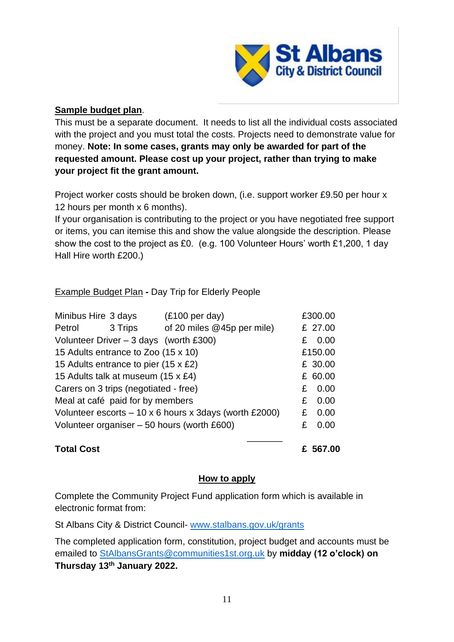

## **Sample budget plan**.

This must be a separate document. It needs to list all the individual costs associated with the project and you must total the costs. Projects need to demonstrate value for money. **Note: In some cases, grants may only be awarded for part of the requested amount. Please cost up your project, rather than trying to make your project fit the grant amount.**

Project worker costs should be broken down, (i.e. support worker £9.50 per hour x 12 hours per month x 6 months).

If your organisation is contributing to the project or you have negotiated free support or items, you can itemise this and show the value alongside the description. Please show the cost to the project as £0. (e.g. 100 Volunteer Hours' worth £1,200, 1 day Hall Hire worth £200.)

Example Budget Plan **-** Day Trip for Elderly People

| Minibus Hire 3 days                                          | $(E100 \text{ per day})$   |   | £300.00 |
|--------------------------------------------------------------|----------------------------|---|---------|
| Petrol<br>3 Trips                                            | of 20 miles @45p per mile) |   | £ 27.00 |
| Volunteer Driver $-3$ days (worth £300)                      |                            |   | 0.00    |
| 15 Adults entrance to Zoo (15 x 10)                          |                            |   | £150.00 |
| 15 Adults entrance to pier (15 x £2)                         |                            |   | £ 30.00 |
| 15 Adults talk at museum (15 x £4)                           |                            |   | £ 60.00 |
| Carers on 3 trips (negotiated - free)                        |                            |   | 0.00    |
| Meal at café paid for by members                             |                            | £ | 0.00    |
| Volunteer escorts $-10 \times 6$ hours x 3days (worth £2000) |                            | £ | 0.00    |
| Volunteer organiser – 50 hours (worth £600)                  |                            |   | 0.00    |
|                                                              |                            |   |         |

# **Total Cost £ 567.00**

## **How to apply**

Complete the Community Project Fund application form which is available in electronic format from:

St Albans City & District Council- [www.stalbans.gov.uk/grants](http://www.stalbans.gov.uk/grants)

The completed application form, constitution, project budget and accounts must be emailed to [StAlbansGrants@communities1st.org.uk](mailto:StAlbansGrants@communities1st.org.uk) by **midday (12 o'clock) on Thursday 13 th January 2022.**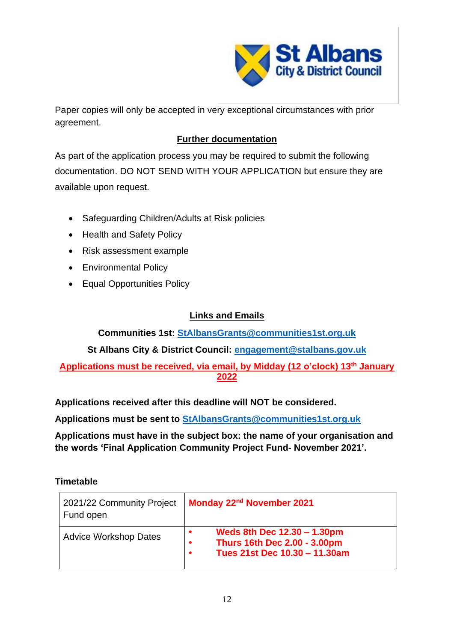

Paper copies will only be accepted in very exceptional circumstances with prior agreement.

# **Further documentation**

As part of the application process you may be required to submit the following documentation. DO NOT SEND WITH YOUR APPLICATION but ensure they are available upon request.

- Safeguarding Children/Adults at Risk policies
- Health and Safety Policy
- Risk assessment example
- Environmental Policy
- Equal Opportunities Policy

# **Links and Emails**

**Communities 1st: [StAlbansGrants@communities1st.org.uk](mailto:StAlbansGrants@communities1st.org.uk)**

**St Albans City & District Council: [engagement@stalbans.gov.uk](mailto:engagement@stalbans.gov.uk)**

# **Applications must be received, via email, by Midday (12 o'clock) 13 th January 2022**

**Applications received after this deadline will NOT be considered.**

**Applications must be sent to [StAlbansGrants@communities1st.org.uk](mailto:StAlbansGrants@communities1st.org.uk)**

**Applications must have in the subject box: the name of your organisation and the words 'Final Application Community Project Fund- November 2021'.**

## **Timetable**

| 2021/22 Community Project<br>Fund open | Monday 22 <sup>nd</sup> November 2021                                                                                         |
|----------------------------------------|-------------------------------------------------------------------------------------------------------------------------------|
| <b>Advice Workshop Dates</b>           | Weds 8th Dec 12.30 - 1.30pm<br>$\bullet$<br><b>Thurs 16th Dec 2.00 - 3.00pm</b><br>$\bullet$<br>Tues 21st Dec 10.30 - 11.30am |